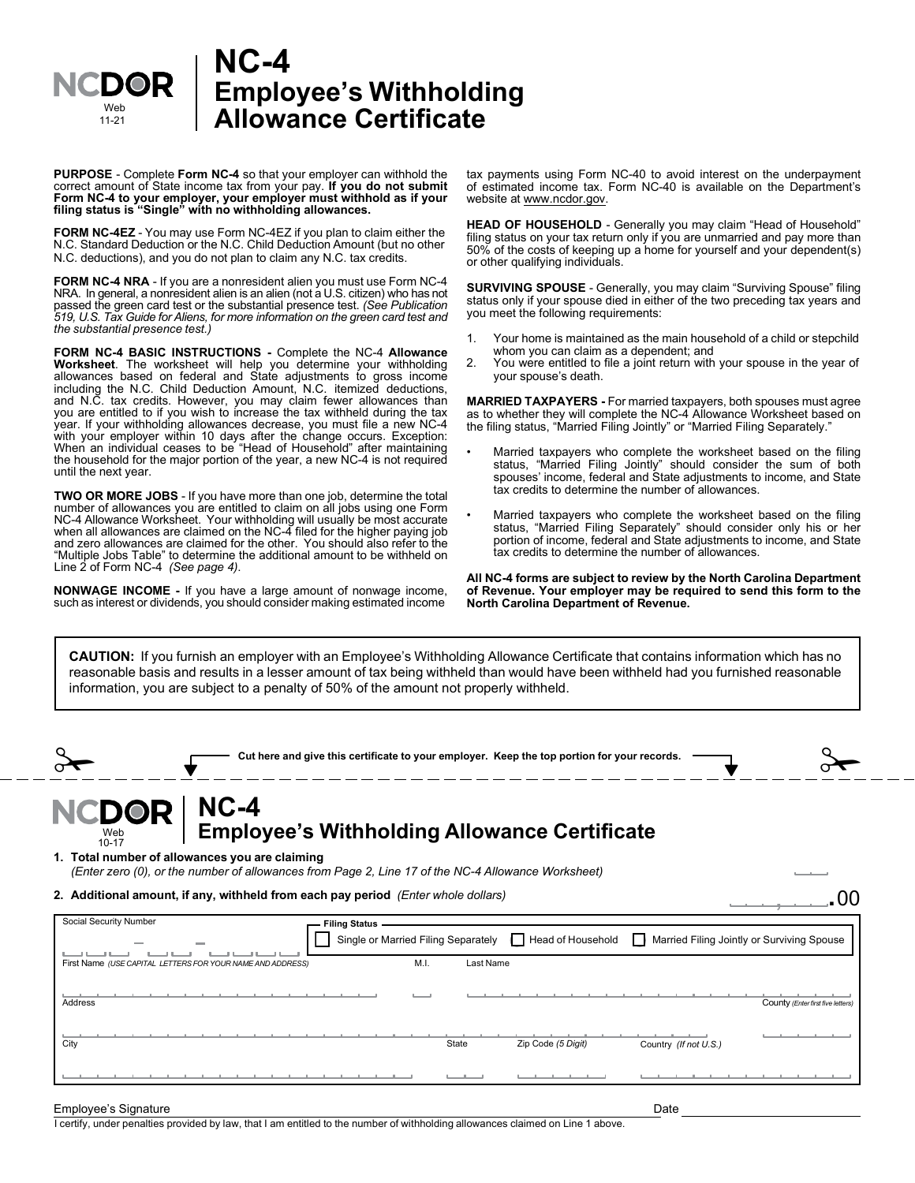

## **NC-4 Employee's Withholding Allowance Certificate**

**PURPOSE** - Complete **Form NC-4** so that your employer can withhold the correct amount of State income tax from your pay. **If you do not submit Form NC-4 to your employer, your employer must withhold as if your filing status is "Single" with no withholding allowances.**

**FORM NC-4EZ** - You may use Form NC-4EZ if you plan to claim either the N.C. Standard Deduction or the N.C. Child Deduction Amount (but no other N.C. deductions), and you do not plan to claim any N.C. tax credits.

**FORM NC-4 NRA** - If you are a nonresident alien you must use Form NC-4 NRA. In general, a nonresident alien is an alien (not a U.S. citizen) who has not passed the green card test or the substantial presence test. *(See Publication 519, U.S. Tax Guide for Aliens, for more information on the green card test and the substantial presence test.)*

**FORM NC-4 BASIC INSTRUCTIONS -** Complete the NC-4 **Allowance Worksheet**. The worksheet will help you determine your withholding allowances based on federal and State adjustments to gross income including the N.C. Child Deduction Amount, N.C. itemized deductions, and N.C. tax credits. However, you may claim fewer allowances than you are entitled to if you wish to increase the tax withheld during the tax year. If your withholding allowances decrease, you must file a new NC-4 with your employer within 10 days after the change occurs. Exception: When an individual ceases to be "Head of Household" after maintaining the household for the major portion of the year, a new NC-4 is not required until the next year.

**TWO OR MORE JOBS** - If you have more than one job, determine the total number of allowances you are entitled to claim on all jobs using one Form NC-4 Allowance Worksheet. Your withholding will usually be most accurate when all allowances are claimed on the NC-4 filed for the higher paying job and zero allowances are claimed for the other. You should also refer to the "Multiple Jobs Table" to determine the additional amount to be withheld on Line 2 of Form NC-4 *(See page 4)*.

**NONWAGE INCOME -** If you have a large amount of nonwage income, such as interest or dividends, you should consider making estimated income

tax payments using Form NC-40 to avoid interest on the underpayment of estimated income tax. Form NC-40 is available on the Department's website at www.ncdor.gov.

**HEAD OF HOUSEHOLD** - Generally you may claim "Head of Household" filing status on your tax return only if you are unmarried and pay more than 50% of the costs of keeping up a home for yourself and your dependent(s) or other qualifying individuals.

**SURVIVING SPOUSE** - Generally, you may claim "Surviving Spouse" filing status only if your spouse died in either of the two preceding tax years and you meet the following requirements:

- 1. Your home is maintained as the main household of a child or stepchild whom you can claim as a dependent; and
- 2. You were entitled to file a joint return with your spouse in the year of your spouse's death.

**MARRIED TAXPAYERS -** For married taxpayers, both spouses must agree as to whether they will complete the NC-4 Allowance Worksheet based on the filing status, "Married Filing Jointly" or "Married Filing Separately."

- Married taxpayers who complete the worksheet based on the filing status, "Married Filing Jointly" should consider the sum of both spouses' income, federal and State adjustments to income, and State tax credits to determine the number of allowances.
- Married taxpayers who complete the worksheet based on the filing status, "Married Filing Separately" should consider only his or her portion of income, federal and State adjustments to income, and State tax credits to determine the number of allowances.

**All NC-4 forms are subject to review by the North Carolina Department of Revenue. Your employer may be required to send this form to the North Carolina Department of Revenue.**

**CAUTION:** If you furnish an employer with an Employee's Withholding Allowance Certificate that contains information which has no reasonable basis and results in a lesser amount of tax being withheld than would have been withheld had you furnished reasonable information, you are subject to a penalty of 50% of the amount not properly withheld.

|                                                                                                                                                                                          |  |                      |      |           | Cut here and give this certificate to your employer. Keep the top portion for your records. |                       |                                            |
|------------------------------------------------------------------------------------------------------------------------------------------------------------------------------------------|--|----------------------|------|-----------|---------------------------------------------------------------------------------------------|-----------------------|--------------------------------------------|
| <b>NCDOR</b><br>Web<br>$10 - 17$<br>1. Total number of allowances you are claiming<br>(Enter zero (0), or the number of allowances from Page 2, Line 17 of the NC-4 Allowance Worksheet) |  |                      |      |           | NC-4<br>Employee's Withholding Allowance Certificate                                        |                       |                                            |
| 2. Additional amount, if any, withheld from each pay period (Enter whole dollars)                                                                                                        |  |                      |      |           |                                                                                             |                       |                                            |
| Social Security Number<br>First Name (USE CAPITAL LETTERS FOR YOUR NAME AND ADDRESS)                                                                                                     |  | <b>Filing Status</b> | M.I. | Last Name | Single or Married Filing Separately   Head of Household                                     | $\Box$                | Married Filing Jointly or Surviving Spouse |
| Address                                                                                                                                                                                  |  |                      |      |           |                                                                                             |                       | County (Enter first five letters           |
| City                                                                                                                                                                                     |  |                      |      | State     | Zip Code (5 Digit)                                                                          | Country (If not U.S.) |                                            |
|                                                                                                                                                                                          |  |                      |      |           |                                                                                             |                       |                                            |
| Employee's Signature                                                                                                                                                                     |  |                      |      |           |                                                                                             | Date                  |                                            |

I certify, under penalties provided by law, that I am entitled to the number of withholding allowances claimed on Line 1 above.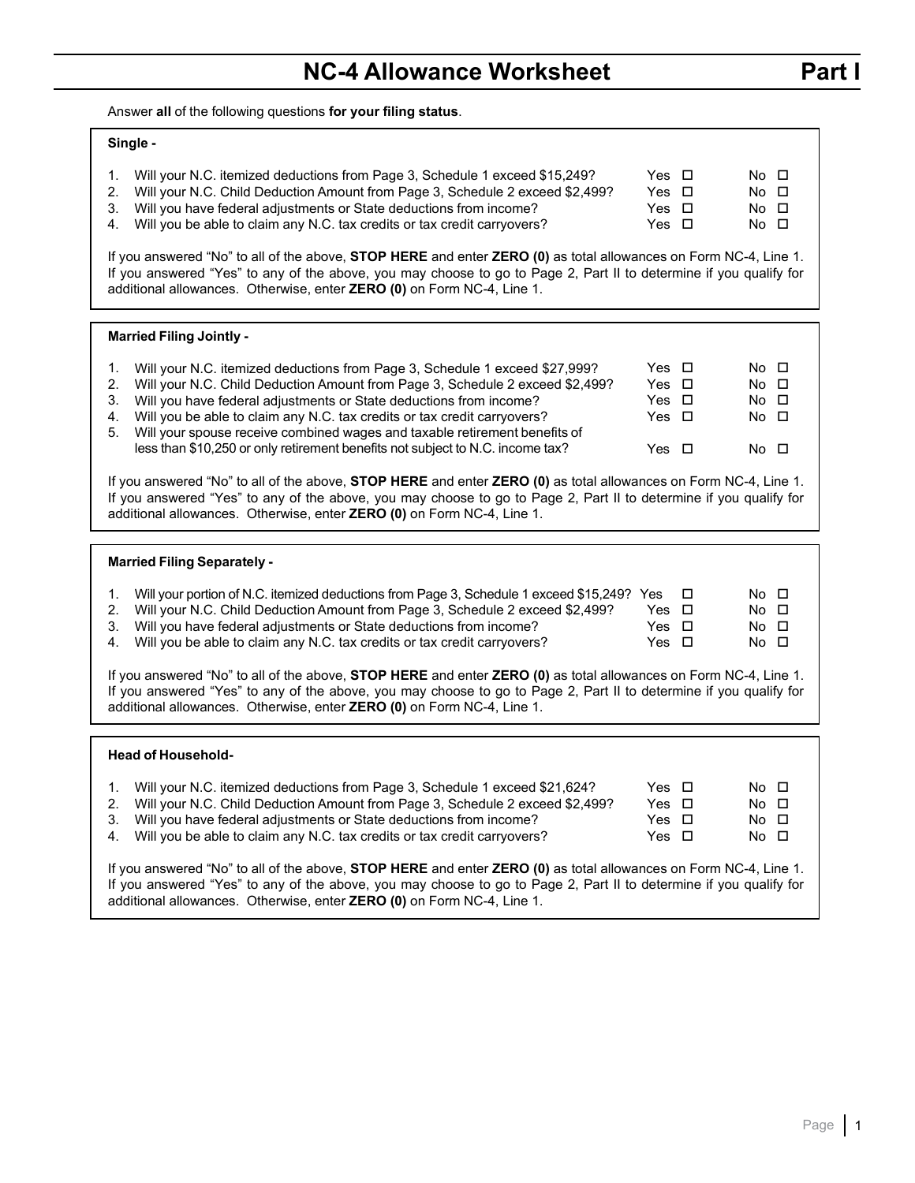Answer **all** of the following questions **for your filing status**.

| Single -                                                                                                                                                                                                                                                                                                                                                                                                                                                                                                     |                                                               |   |                                                    |  |  |  |  |
|--------------------------------------------------------------------------------------------------------------------------------------------------------------------------------------------------------------------------------------------------------------------------------------------------------------------------------------------------------------------------------------------------------------------------------------------------------------------------------------------------------------|---------------------------------------------------------------|---|----------------------------------------------------|--|--|--|--|
| Will your N.C. itemized deductions from Page 3, Schedule 1 exceed \$15,249?<br>1.<br>2.<br>Will your N.C. Child Deduction Amount from Page 3, Schedule 2 exceed \$2,499?<br>Will you have federal adjustments or State deductions from income?<br>3.<br>Will you be able to claim any N.C. tax credits or tax credit carryovers?<br>4.                                                                                                                                                                       | Yes $\Box$<br>Yes $\Box$<br>Yes $\Box$<br>Yes $\Box$          |   | No □<br>No □<br>No □<br>No □                       |  |  |  |  |
| If you answered "No" to all of the above, STOP HERE and enter ZERO (0) as total allowances on Form NC-4, Line 1.<br>If you answered "Yes" to any of the above, you may choose to go to Page 2, Part II to determine if you qualify for<br>additional allowances. Otherwise, enter ZERO (0) on Form NC-4, Line 1.                                                                                                                                                                                             |                                                               |   |                                                    |  |  |  |  |
| <b>Married Filing Jointly -</b>                                                                                                                                                                                                                                                                                                                                                                                                                                                                              |                                                               |   |                                                    |  |  |  |  |
| Will your N.C. itemized deductions from Page 3, Schedule 1 exceed \$27,999?<br>1.<br>2.<br>Will your N.C. Child Deduction Amount from Page 3, Schedule 2 exceed \$2,499?<br>Will you have federal adjustments or State deductions from income?<br>3.<br>Will you be able to claim any N.C. tax credits or tax credit carryovers?<br>4.<br>Will your spouse receive combined wages and taxable retirement benefits of<br>5.<br>less than \$10,250 or only retirement benefits not subject to N.C. income tax? | Yes $\Box$<br>Yes $\Box$<br>Yes $\Box$<br>Yes □<br>Yes $\Box$ |   | No □<br>$No$ $\Box$<br>No O<br>No □<br>$No$ $\Box$ |  |  |  |  |
| If you answered "No" to all of the above, STOP HERE and enter ZERO (0) as total allowances on Form NC-4, Line 1.<br>If you answered "Yes" to any of the above, you may choose to go to Page 2, Part II to determine if you qualify for<br>additional allowances. Otherwise, enter ZERO (0) on Form NC-4, Line 1.                                                                                                                                                                                             |                                                               |   |                                                    |  |  |  |  |
| <b>Married Filing Separately -</b>                                                                                                                                                                                                                                                                                                                                                                                                                                                                           |                                                               |   |                                                    |  |  |  |  |
| Will your portion of N.C. itemized deductions from Page 3, Schedule 1 exceed \$15,249? Yes<br>1.<br>Will your N.C. Child Deduction Amount from Page 3, Schedule 2 exceed \$2,499?<br>2.<br>Will you have federal adjustments or State deductions from income?<br>3.<br>Will you be able to claim any N.C. tax credits or tax credit carryovers?<br>4.<br>If you answered "No" to all of the above, STOP HERE and enter ZERO (0) as total allowances on Form NC-4, Line 1.                                    | Yes $\Box$<br>Yes $\Box$<br>Yes $\Box$                        | □ | No O<br>No □<br>No O<br>No □                       |  |  |  |  |
| If you answered "Yes" to any of the above, you may choose to go to Page 2, Part II to determine if you qualify for<br>additional allowances. Otherwise, enter ZERO (0) on Form NC-4, Line 1.                                                                                                                                                                                                                                                                                                                 |                                                               |   |                                                    |  |  |  |  |
| <b>Head of Household-</b>                                                                                                                                                                                                                                                                                                                                                                                                                                                                                    |                                                               |   |                                                    |  |  |  |  |
| Will your N.C. itemized deductions from Page 3, Schedule 1 exceed \$21,624?<br>1.<br>Will your N.C. Child Deduction Amount from Page 3, Schedule 2 exceed \$2,499?<br>2.<br>Will you have federal adjustments or State deductions from income?<br>3.<br>Will you be able to claim any N.C. tax credits or tax credit carryovers?<br>4.                                                                                                                                                                       | Yes $\Box$<br>Yes $\Box$<br>Yes $\Box$                        |   | No O<br>No □<br>$No$ $\Box$                        |  |  |  |  |

If you answered "No" to all of the above, **STOP HERE** and enter **ZERO (0)** as total allowances on Form NC-4, Line 1. If you answered "Yes" to any of the above, you may choose to go to Page 2, Part II to determine if you qualify for additional allowances. Otherwise, enter **ZERO (0)** on Form NC-4, Line 1.

**Part I**

┑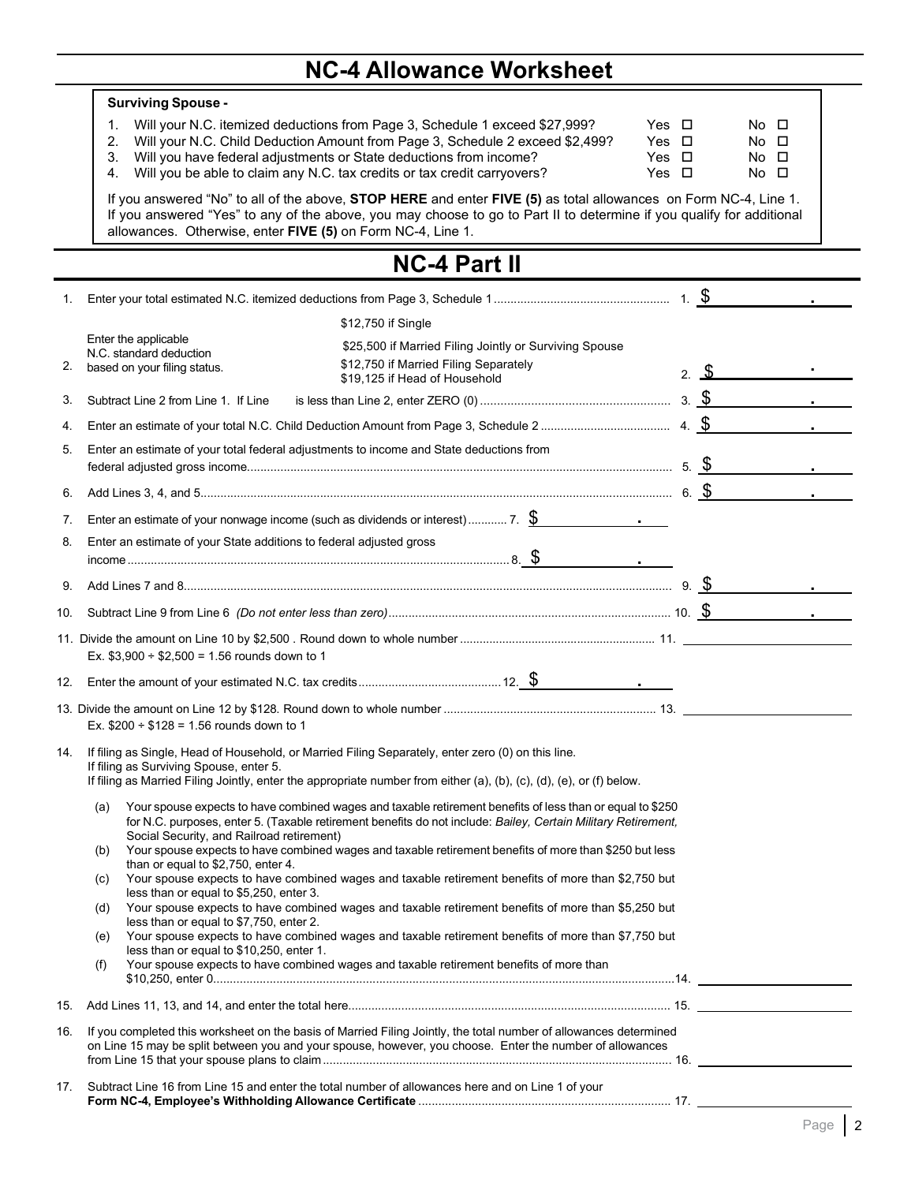# **NC-4 Allowance Worksheet**

|     | <b>Surviving Spouse -</b>                                                                                                                                                                                                                                                                                                                                                                      |  |                                                   |  |  |  |  |  |
|-----|------------------------------------------------------------------------------------------------------------------------------------------------------------------------------------------------------------------------------------------------------------------------------------------------------------------------------------------------------------------------------------------------|--|---------------------------------------------------|--|--|--|--|--|
|     | Will your N.C. itemized deductions from Page 3, Schedule 1 exceed \$27,999?<br>Yes $\Box$<br>1.<br>Will your N.C. Child Deduction Amount from Page 3, Schedule 2 exceed \$2,499?<br>2.<br>Yes $\Box$<br>3.<br>Will you have federal adjustments or State deductions from income?<br>Yes $\Box$<br>Will you be able to claim any N.C. tax credits or tax credit carryovers?<br>Yes $\Box$<br>4. |  | No □<br>$No$ $\Box$<br>$No$ $\Box$<br>$No$ $\Box$ |  |  |  |  |  |
|     | If you answered "No" to all of the above, STOP HERE and enter FIVE (5) as total allowances on Form NC-4, Line 1.<br>If you answered "Yes" to any of the above, you may choose to go to Part II to determine if you qualify for additional<br>allowances. Otherwise, enter FIVE (5) on Form NC-4, Line 1.                                                                                       |  |                                                   |  |  |  |  |  |
|     | <b>NC-4 Part II</b>                                                                                                                                                                                                                                                                                                                                                                            |  |                                                   |  |  |  |  |  |
| 1.  |                                                                                                                                                                                                                                                                                                                                                                                                |  |                                                   |  |  |  |  |  |
|     | \$12,750 if Single                                                                                                                                                                                                                                                                                                                                                                             |  |                                                   |  |  |  |  |  |
| 2.  | Enter the applicable<br>\$25,500 if Married Filing Jointly or Surviving Spouse<br>N.C. standard deduction<br>\$12,750 if Married Filing Separately<br>based on your filing status.<br>\$19,125 if Head of Household                                                                                                                                                                            |  | 2. $\sim$                                         |  |  |  |  |  |
| 3.  | Subtract Line 2 from Line 1. If Line                                                                                                                                                                                                                                                                                                                                                           |  |                                                   |  |  |  |  |  |
| 4.  |                                                                                                                                                                                                                                                                                                                                                                                                |  |                                                   |  |  |  |  |  |
| 5.  | Enter an estimate of your total federal adjustments to income and State deductions from                                                                                                                                                                                                                                                                                                        |  |                                                   |  |  |  |  |  |
| 6.  |                                                                                                                                                                                                                                                                                                                                                                                                |  |                                                   |  |  |  |  |  |
| 7.  | Enter an estimate of your nonwage income (such as dividends or interest) 7. $\frac{\$}{\$}$                                                                                                                                                                                                                                                                                                    |  |                                                   |  |  |  |  |  |
| 8.  | Enter an estimate of your State additions to federal adjusted gross                                                                                                                                                                                                                                                                                                                            |  |                                                   |  |  |  |  |  |
| 9.  |                                                                                                                                                                                                                                                                                                                                                                                                |  |                                                   |  |  |  |  |  |
| 10. |                                                                                                                                                                                                                                                                                                                                                                                                |  |                                                   |  |  |  |  |  |
|     | Ex. $$3,900 \div $2,500 = 1.56$ rounds down to 1                                                                                                                                                                                                                                                                                                                                               |  |                                                   |  |  |  |  |  |
| 12. |                                                                                                                                                                                                                                                                                                                                                                                                |  |                                                   |  |  |  |  |  |
|     | Ex. $$200 \div $128 = 1.56$ rounds down to 1                                                                                                                                                                                                                                                                                                                                                   |  |                                                   |  |  |  |  |  |
|     | 14. If filing as Single, Head of Household, or Married Filing Separately, enter zero (0) on this line.<br>If filing as Surviving Spouse, enter 5.<br>If filing as Married Filing Jointly, enter the appropriate number from either (a), (b), (c), (d), (e), or (f) below.                                                                                                                      |  |                                                   |  |  |  |  |  |
|     | Your spouse expects to have combined wages and taxable retirement benefits of less than or equal to \$250<br>(a)<br>for N.C. purposes, enter 5. (Taxable retirement benefits do not include: Bailey, Certain Military Retirement,                                                                                                                                                              |  |                                                   |  |  |  |  |  |
|     | Social Security, and Railroad retirement)<br>Your spouse expects to have combined wages and taxable retirement benefits of more than \$250 but less<br>(b)<br>than or equal to \$2,750, enter 4.                                                                                                                                                                                               |  |                                                   |  |  |  |  |  |
|     | Your spouse expects to have combined wages and taxable retirement benefits of more than \$2,750 but<br>(c)<br>less than or equal to \$5,250, enter 3.                                                                                                                                                                                                                                          |  |                                                   |  |  |  |  |  |
|     | Your spouse expects to have combined wages and taxable retirement benefits of more than \$5,250 but<br>(d)<br>less than or equal to \$7,750, enter 2.                                                                                                                                                                                                                                          |  |                                                   |  |  |  |  |  |
|     | Your spouse expects to have combined wages and taxable retirement benefits of more than \$7,750 but<br>(e)<br>less than or equal to \$10,250, enter 1.                                                                                                                                                                                                                                         |  |                                                   |  |  |  |  |  |
|     | Your spouse expects to have combined wages and taxable retirement benefits of more than<br>(f)                                                                                                                                                                                                                                                                                                 |  |                                                   |  |  |  |  |  |
| 15. |                                                                                                                                                                                                                                                                                                                                                                                                |  |                                                   |  |  |  |  |  |
| 16. | If you completed this worksheet on the basis of Married Filing Jointly, the total number of allowances determined<br>on Line 15 may be split between you and your spouse, however, you choose. Enter the number of allowances                                                                                                                                                                  |  |                                                   |  |  |  |  |  |
| 17. | Subtract Line 16 from Line 15 and enter the total number of allowances here and on Line 1 of your                                                                                                                                                                                                                                                                                              |  |                                                   |  |  |  |  |  |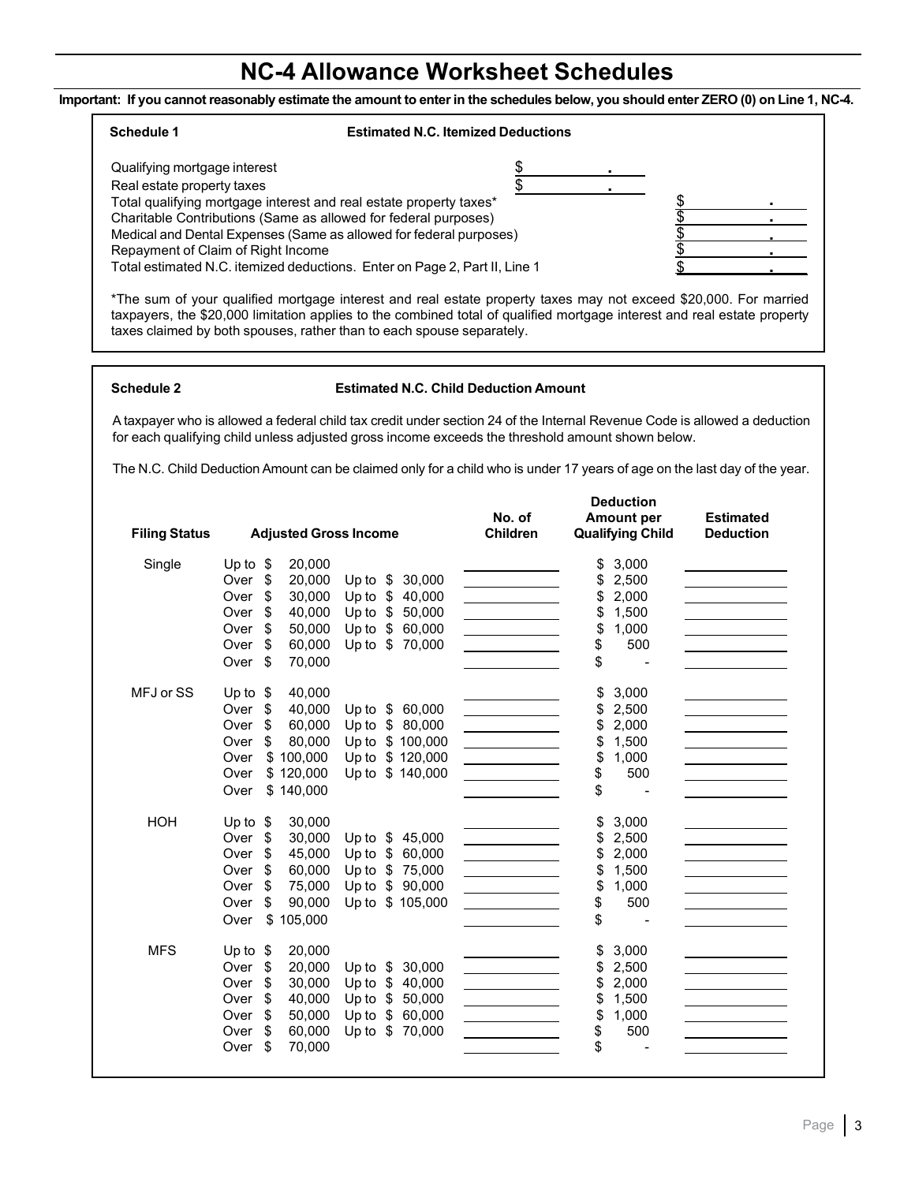## **NC-4 Allowance Worksheet Schedules**

Important: If you cannot reasonably estimate the amount to enter in the schedules below, you should enter ZERO (0) on Line 1, NC-4.

### **Schedule 1 Estimated N.C. Itemized Deductions**

| Qualifying mortgage interest                                               |  |  |
|----------------------------------------------------------------------------|--|--|
| Real estate property taxes                                                 |  |  |
| Total qualifying mortgage interest and real estate property taxes*         |  |  |
| Charitable Contributions (Same as allowed for federal purposes)            |  |  |
| Medical and Dental Expenses (Same as allowed for federal purposes)         |  |  |
| Repayment of Claim of Right Income                                         |  |  |
| Total estimated N.C. itemized deductions. Enter on Page 2, Part II, Line 1 |  |  |
|                                                                            |  |  |

\*The sum of your qualified mortgage interest and real estate property taxes may not exceed \$20,000. For married taxpayers, the \$20,000 limitation applies to the combined total of qualified mortgage interest and real estate property taxes claimed by both spouses, rather than to each spouse separately.

### **Schedule 2 Estimated N.C. Child Deduction Amount**

A taxpayer who is allowed a federal child tax credit under section 24 of the Internal Revenue Code is allowed a deduction for each qualifying child unless adjusted gross income exceeds the threshold amount shown below.

The N.C. Child DeductionAmount can be claimed only for a child who is under 17 years of age on the last day of the year.

|                      |                                               | <b>Deduction</b><br>No. of<br><b>Amount per</b>                                    | <b>Estimated</b> |  |
|----------------------|-----------------------------------------------|------------------------------------------------------------------------------------|------------------|--|
| <b>Filing Status</b> | <b>Adjusted Gross Income</b>                  | <b>Qualifying Child</b><br>Children                                                | <b>Deduction</b> |  |
| Single               | 20,000<br>Up to $$$                           | 3,000<br>\$                                                                        |                  |  |
|                      | \$<br>20,000<br>30,000<br>Over<br>Up to $$$   | \$<br>2,500                                                                        |                  |  |
|                      | \$40,000<br>\$<br>30,000<br>Over<br>Up to     | 2,000<br>\$                                                                        |                  |  |
|                      | Over<br>\$<br>40,000<br>Up to<br>\$<br>50,000 | 1,500<br>\$<br><u>and the state of the state</u>                                   |                  |  |
|                      | Up to<br>\$<br>Over<br>\$<br>50,000<br>60,000 | \$<br>1,000<br><u> Alban Maria (</u>                                               |                  |  |
|                      | Up to \$70,000<br>Over<br>\$<br>60,000        | \$<br>500<br><u> 1989 - Johann Barnett, fransk kongres</u>                         |                  |  |
|                      | 70,000<br>Over<br>\$                          | \$                                                                                 |                  |  |
| MFJ or SS            | 40,000<br>Up to $$$                           | \$<br>3,000                                                                        |                  |  |
|                      | 40,000<br>Over<br>\$<br>Up to \$ 60,000       | \$<br>2,500<br>and the control of the control of the                               |                  |  |
|                      | \$<br>60,000<br>\$80,000<br>Over<br>Up to     | \$<br>2,000                                                                        |                  |  |
|                      | 80,000<br>Up to \$ 100,000<br>\$<br>Over      | \$<br>1,500                                                                        |                  |  |
|                      | \$100,000<br>Up to<br>\$120,000<br>Over       | \$<br>1,000<br><u> 1990 - Johann Barbara, martin a</u>                             |                  |  |
|                      | \$120,000<br>Up to<br>\$140,000<br>Over       | 500<br>\$                                                                          |                  |  |
|                      | \$140,000<br>Over                             | \$                                                                                 |                  |  |
| <b>HOH</b>           | 30.000<br>Up to $$$                           | 3,000<br>\$                                                                        |                  |  |
|                      | Over<br>30,000<br>\$<br>Up to<br>\$<br>45,000 | 2,500<br>\$                                                                        |                  |  |
|                      | 45,000<br>Up to<br>60,000<br>Over<br>\$<br>\$ | 2,000<br>\$<br>$\overline{\phantom{a}}$ . The contract of $\overline{\phantom{a}}$ |                  |  |
|                      | 60,000<br>Up to \$75,000<br>Over<br>\$        | \$<br>1,500                                                                        |                  |  |
|                      | \$90,000<br>Up to<br>\$<br>75,000<br>Over     | \$<br>1,000                                                                        |                  |  |
|                      | Up to \$ 105,000<br>90,000<br>\$<br>Over      | \$<br>500                                                                          |                  |  |
|                      | \$105,000<br>Over                             | \$                                                                                 |                  |  |
| <b>MFS</b>           | 20,000<br>Up to $$$                           | \$<br>3,000                                                                        |                  |  |
|                      | Over<br>\$<br>20,000<br>\$<br>30,000<br>Up to | 2,500<br>\$                                                                        |                  |  |
|                      | \$<br>30,000<br>Up to<br>\$<br>40,000<br>Over | \$<br>2,000                                                                        |                  |  |
|                      | 40,000<br>\$<br>50,000<br>\$<br>Up to<br>Over | 1,500<br>\$                                                                        |                  |  |
|                      | 50,000<br>Up to<br>\$60,000<br>Over<br>\$     | 1,000<br>\$                                                                        |                  |  |
|                      | 60,000<br>\$70,000<br>Up to<br>Over<br>\$     | \$<br>500                                                                          |                  |  |
|                      | 70,000<br>\$<br>Over                          | \$                                                                                 |                  |  |